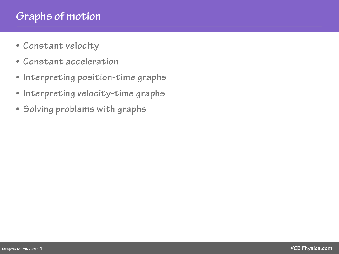# **Graphs of motion**

- **• [Constant velocity](#page-1-0)**
- **• [Constant acceleration](#page-3-0)**
- **• [Interpreting position-time graphs](#page-5-0)**
- **• [Interpreting velocity-time graphs](#page-6-0)**
- **• [Solving problems with graphs](#page-8-0)**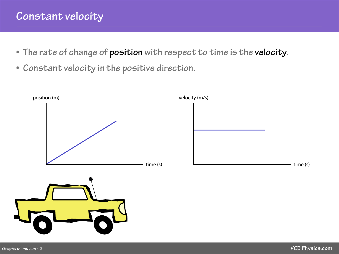### <span id="page-1-0"></span>**Constant velocity**

- **• The rate of change of position with respect to time is the velocity.**
- **• Constant velocity in the positive direction.**

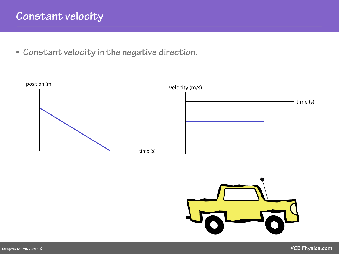## **Constant velocity**

**• Constant velocity in the negative direction.**



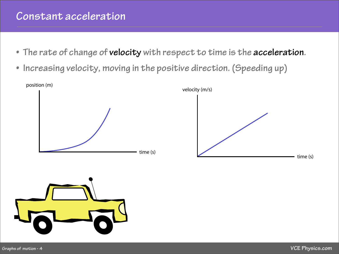#### <span id="page-3-0"></span>**Constant acceleration**

- **• The rate of change of velocity with respect to time is the acceleration.**
- **• Increasing velocity, moving in the positive direction. (Speeding up)**



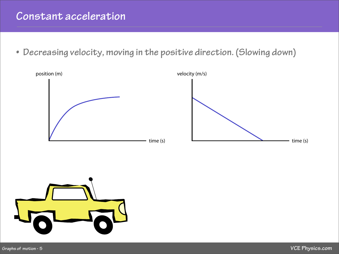#### **Constant acceleration**

**• Decreasing velocity, moving in the positive direction. (Slowing down)**



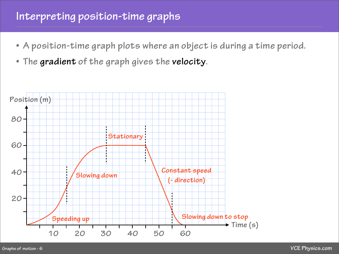### <span id="page-5-0"></span>**Interpreting position-time graphs**

- **• A position-time graph plots where an object is during a time period.**
- **• The gradient of the graph gives the velocity.**

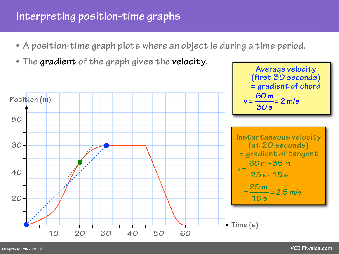# <span id="page-6-0"></span>**Interpreting position-time graphs**

- **• A position-time graph plots where an object is during a time period.**
- **• The gradient of the graph gives the velocity.**



**Average velocity**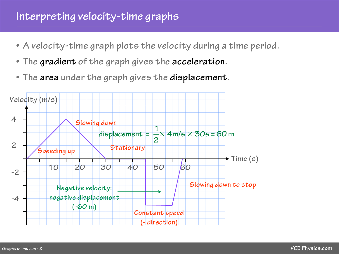### **Interpreting velocity-time graphs**

- **• A velocity-time graph plots the velocity during a time period.**
- **• The gradient of the graph gives the acceleration.**
- **• The area under the graph gives the displacement.**

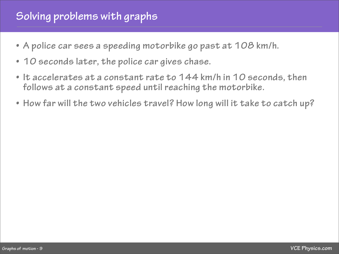## <span id="page-8-0"></span>**Solving problems with graphs**

- **• A police car sees a speeding motorbike go past at 108 km/h.**
- **• 10 seconds later, the police car gives chase.**
- **• It accelerates at a constant rate to 144 km/h in 10 seconds, then follows at a constant speed until reaching the motorbike.**
- **• How far will the two vehicles travel? How long will it take to catch up?**